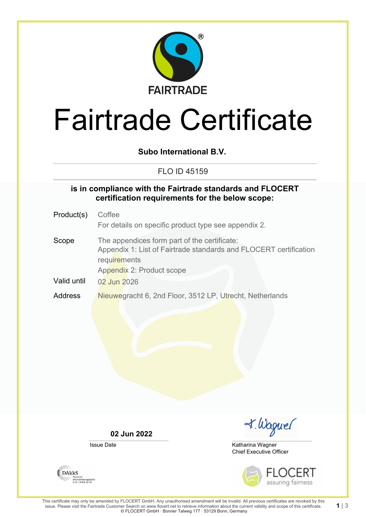

# Fairtrade Certificate

**Subo International B.V.**

### FLO ID 45159

#### **is in compliance with the Fairtrade standards and FLOCERT certification requirements for the below scope:**

Product(s) Coffee For details on specific product type see appendix 2. Scope The appendices form part of the certificate: Appendix 1: List of Fairtrade standards and FLOCERT certification **requirements** Appendix 2: Product scope Valid until 02 Jun 2026 Address Nieuwegracht 6, 2nd Floor, 3512 LP, Utrecht, Netherlands

**02 Jun 2022**

Issue Date

I. Waguel

Chief Executive Officer Katharina Wagner





**1** | 3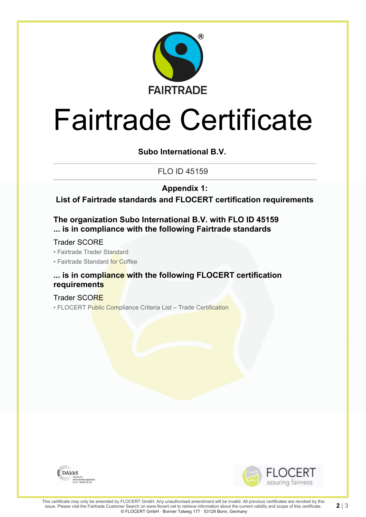

# Fairtrade Certificate

**Subo International B.V.**

FLO ID 45159

**Appendix 1:**

**List of Fairtrade standards and FLOCERT certification requirements**

**The organization Subo International B.V. with FLO ID 45159 ... is in compliance with the following Fairtrade standards**

Trader SCORE

• Fairtrade Trader Standard

• Fairtrade Standard for Coffee

### **... is in compliance with the following FLOCERT certification requirements**

Trader SCORE • FLOCERT Public Compliance Criteria List – Trade Certification





**2** | 3